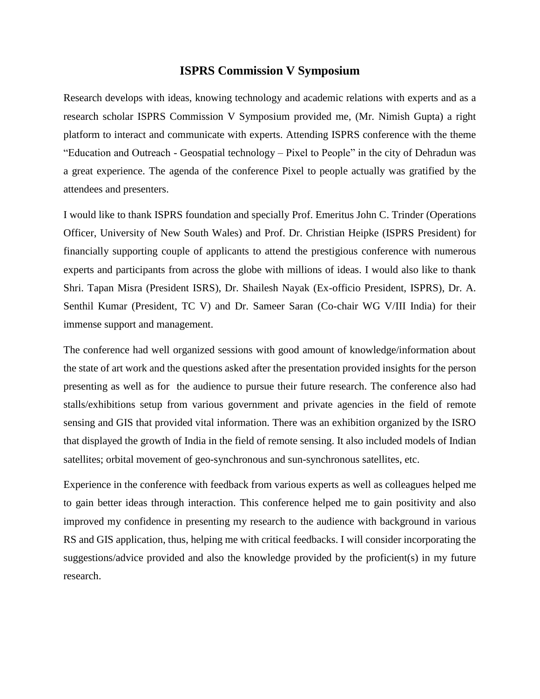## **ISPRS Commission V Symposium**

Research develops with ideas, knowing technology and academic relations with experts and as a research scholar ISPRS Commission V Symposium provided me, (Mr. Nimish Gupta) a right platform to interact and communicate with experts. Attending ISPRS conference with the theme "Education and Outreach - Geospatial technology – Pixel to People" in the city of Dehradun was a great experience. The agenda of the conference Pixel to people actually was gratified by the attendees and presenters.

I would like to thank ISPRS foundation and specially Prof. Emeritus John C. Trinder (Operations Officer, University of New South Wales) and Prof. Dr. Christian Heipke (ISPRS President) for financially supporting couple of applicants to attend the prestigious conference with numerous experts and participants from across the globe with millions of ideas. I would also like to thank Shri. Tapan Misra (President ISRS), Dr. Shailesh Nayak (Ex-officio President, ISPRS), Dr. A. Senthil Kumar (President, TC V) and Dr. Sameer Saran (Co-chair WG V/III India) for their immense support and management.

The conference had well organized sessions with good amount of knowledge/information about the state of art work and the questions asked after the presentation provided insights for the person presenting as well as for the audience to pursue their future research. The conference also had stalls/exhibitions setup from various government and private agencies in the field of remote sensing and GIS that provided vital information. There was an exhibition organized by the ISRO that displayed the growth of India in the field of remote sensing. It also included models of Indian satellites; orbital movement of geo-synchronous and sun-synchronous satellites, etc.

Experience in the conference with feedback from various experts as well as colleagues helped me to gain better ideas through interaction. This conference helped me to gain positivity and also improved my confidence in presenting my research to the audience with background in various RS and GIS application, thus, helping me with critical feedbacks. I will consider incorporating the suggestions/advice provided and also the knowledge provided by the proficient(s) in my future research.